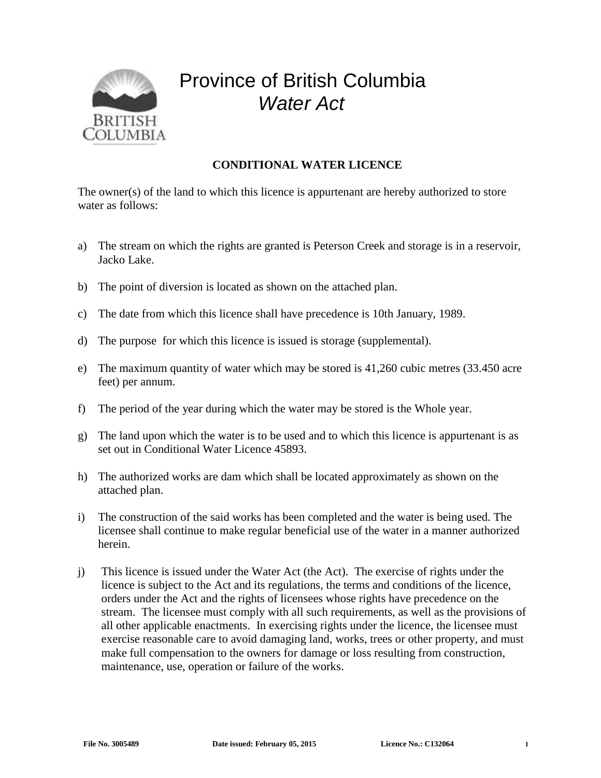

## Province of British Columbia *Water Act*

## **CONDITIONAL WATER LICENCE**

The owner(s) of the land to which this licence is appurtenant are hereby authorized to store water as follows:

- a) The stream on which the rights are granted is Peterson Creek and storage is in a reservoir, Jacko Lake.
- b) The point of diversion is located as shown on the attached plan.
- c) The date from which this licence shall have precedence is 10th January, 1989.
- d) The purpose for which this licence is issued is storage (supplemental).
- e) The maximum quantity of water which may be stored is 41,260 cubic metres (33.450 acre feet) per annum.
- f) The period of the year during which the water may be stored is the Whole year.
- g) The land upon which the water is to be used and to which this licence is appurtenant is as set out in Conditional Water Licence 45893.
- h) The authorized works are dam which shall be located approximately as shown on the attached plan.
- i) The construction of the said works has been completed and the water is being used. The licensee shall continue to make regular beneficial use of the water in a manner authorized herein.
- j) This licence is issued under the Water Act (the Act). The exercise of rights under the licence is subject to the Act and its regulations, the terms and conditions of the licence, orders under the Act and the rights of licensees whose rights have precedence on the stream. The licensee must comply with all such requirements, as well as the provisions of all other applicable enactments. In exercising rights under the licence, the licensee must exercise reasonable care to avoid damaging land, works, trees or other property, and must make full compensation to the owners for damage or loss resulting from construction, maintenance, use, operation or failure of the works.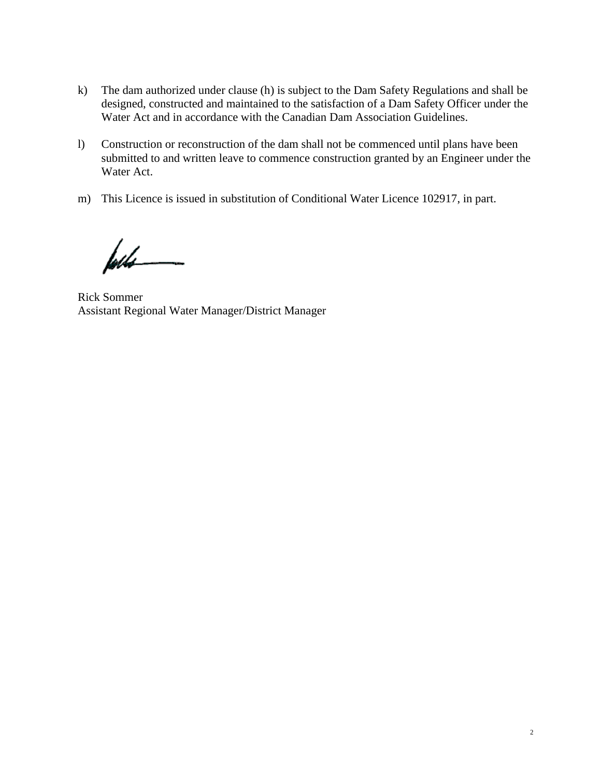- k) The dam authorized under clause (h) is subject to the Dam Safety Regulations and shall be designed, constructed and maintained to the satisfaction of a Dam Safety Officer under the Water Act and in accordance with the Canadian Dam Association Guidelines.
- l) Construction or reconstruction of the dam shall not be commenced until plans have been submitted to and written leave to commence construction granted by an Engineer under the Water Act.
- m) This Licence is issued in substitution of Conditional Water Licence 102917, in part.

føds

Rick Sommer Assistant Regional Water Manager/District Manager